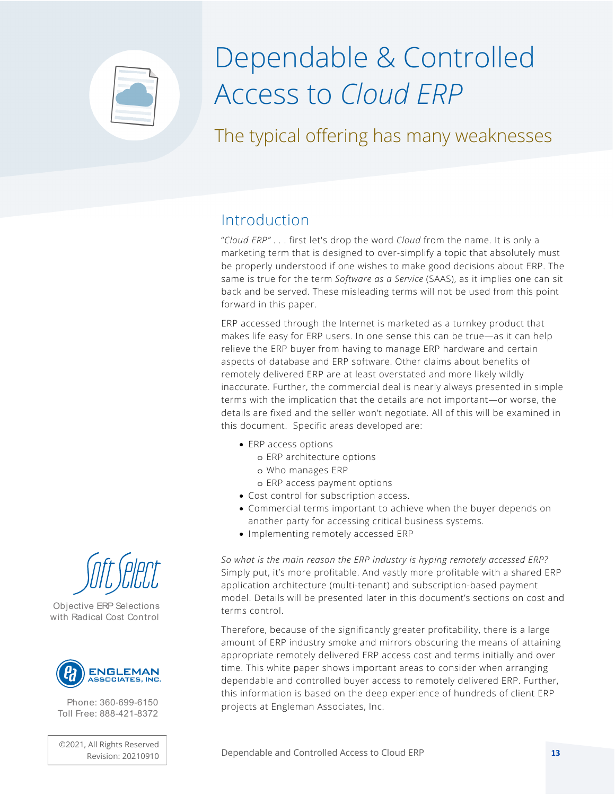

# Dependable & Controlled Access to *Cloud ERP*

The typical offering has many weaknesses

#### Introduction

"*Cloud ERP"* . . . first let's drop the word *Cloud* from the name. It is only a marketing term that is designed to over-simplify a topic that absolutely must be properly understood if one wishes to make good decisions about ERP. The same is true for the term *Software as a Service* (SAAS), as it implies one can sit back and be served. These misleading terms will not be used from this point forward in this paper.

ERP accessed through the Internet is marketed as a turnkey product that makes life easy for ERP users. In one sense this can be true—as it can help relieve the ERP buyer from having to manage ERP hardware and certain aspects of database and ERP software. Other claims about benefits of remotely delivered ERP are at least overstated and more likely wildly inaccurate. Further, the commercial deal is nearly always presented in simple terms with the implication that the details are not important—or worse, the details are fixed and the seller won't negotiate. All of this will be examined in this document. Specific areas developed are:

- ERP access options
	- o ERP architecture options
	- o Who manages ERP
	- o ERP access payment options
- Cost control for subscription access.
- Commercial terms important to achieve when the buyer depends on another party for accessing critical business systems.
- Implementing remotely accessed ERP

*So what is the main reason the ERP industry is hyping remotely accessed ERP?* Simply put, it's more profitable. And vastly more profitable with a shared ERP application architecture (multi-tenant) and subscription-based payment model. Details will be presented later in this document's sections on cost and terms control.

Therefore, because of the significantly greater profitability, there is a large amount of ERP industry smoke and mirrors obscuring the means of attaining appropriate remotely delivered ERP access cost and terms initially and over time. This white paper shows important areas to consider when arranging dependable and controlled buyer access to remotely delivered ERP. Further, this information is based on the deep experience of hundreds of client ERP projects at Engleman Associates, Inc.



Objective ERP Selections with Radical Cost Control



Phone: 360-699-6150 Toll Free: 888-421-8372

©2021, All Rights Reserved

Revision: 20210910 Dependable and Controlled Access to Cloud ERP **13**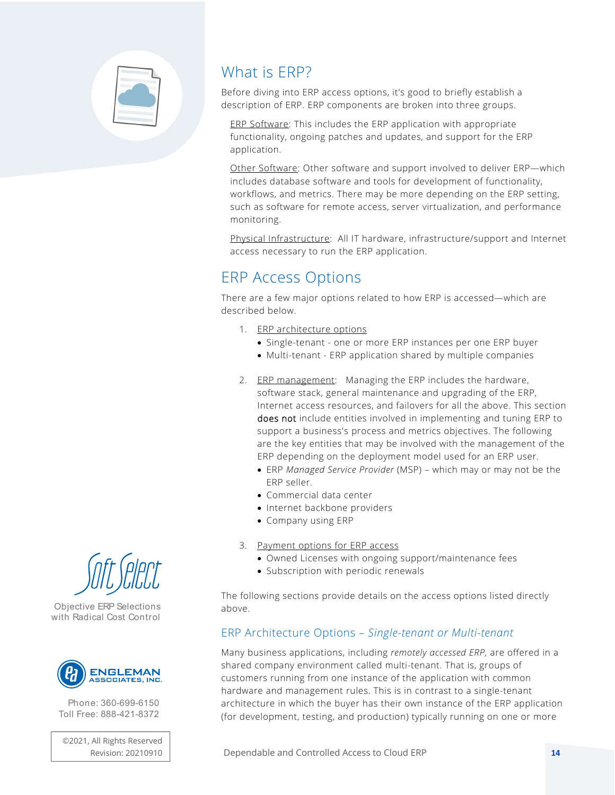

### What is ERP?

Before diving into ERP access options, it's good to briefly establish a description of ERP. ERP components are broken into three groups.

ERP Software: This includes the ERP application with appropriate functionality, ongoing patches and updates, and support for the ERP application.

Other Software: Other software and support involved to deliver ERP—which includes database software and tools for development of functionality, workflows, and metrics. There may be more depending on the ERP setting, such as software for remote access, server virtualization, and performance monitoring.

Physical Infrastructure: All IT hardware, infrastructure/support and Internet access necessary to run the ERP application.

## ERP Access Options

There are a few major options related to how ERP is accessed—which are described below.

- 1. ERP architecture options
	- Single-tenant one or more ERP instances per one ERP buyer
	- Multi-tenant ERP application shared by multiple companies
- 2. ERP management: Managing the ERP includes the hardware, software stack, general maintenance and upgrading of the ERP, Internet access resources, and failovers for all the above. This section does not include entities involved in implementing and tuning ERP to support a business's process and metrics objectives. The following are the key entities that may be involved with the management of the ERP depending on the deployment model used for an ERP user.
	- ERP *Managed Service Provider* (MSP) which may or may not be the ERP seller.
	- Commercial data center
	- Internet backbone providers
	- Company using ERP
- 3. Payment options for ERP access
	- Owned Licenses with ongoing support/maintenance fees
	- Subscription with periodic renewals

The following sections provide details on the access options listed directly above.

#### ERP Architecture Options *– Single-tenant or Multi-tenant*

Many business applications, including *remotely accessed ERP,* are offered in a shared company environment called multi-tenant. That is, groups of customers running from one instance of the application with common hardware and management rules. This is in contrast to a single-tenant architecture in which the buyer has their own instance of the ERP application (for development, testing, and production) typically running on one or more





Objective ERP Selections with Radical Cost Control



Phone: 360-699-6150 Toll Free: 888-421-8372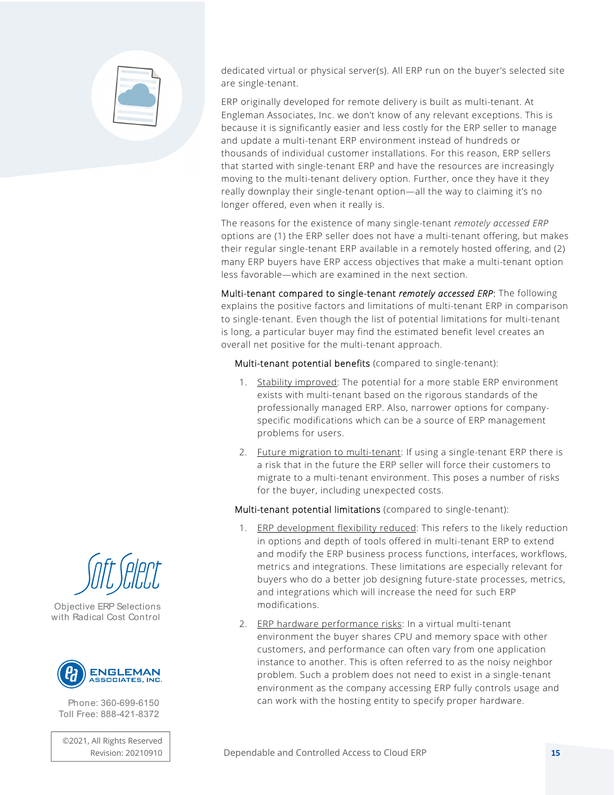

dedicated virtual or physical server(s). All ERP run on the buyer's selected site are single-tenant.

ERP originally developed for remote delivery is built as multi-tenant. At Engleman Associates, Inc. we don't know of any relevant exceptions. This is because it is significantly easier and less costly for the ERP seller to manage and update a multi-tenant ERP environment instead of hundreds or thousands of individual customer installations. For this reason, ERP sellers that started with single-tenant ERP and have the resources are increasingly moving to the multi-tenant delivery option. Further, once they have it they really downplay their single-tenant option—all the way to claiming it's no longer offered, even when it really is.

The reasons for the existence of many single-tenant *remotely accessed ERP* options are (1) the ERP seller does not have a multi-tenant offering, but makes their regular single-tenant ERP available in a remotely hosted offering, and (2) many ERP buyers have ERP access objectives that make a multi-tenant option less favorable—which are examined in the next section.

Multi-tenant compared to single-tenant *remotely accessed ERP*: The following explains the positive factors and limitations of multi-tenant ERP in comparison to single-tenant. Even though the list of potential limitations for multi-tenant is long, a particular buyer may find the estimated benefit level creates an overall net positive for the multi-tenant approach.

Multi-tenant potential benefits (compared to single-tenant):

- 1. Stability improved: The potential for a more stable ERP environment exists with multi-tenant based on the rigorous standards of the professionally managed ERP. Also, narrower options for companyspecific modifications which can be a source of ERP management problems for users.
- 2. Future migration to multi-tenant: If using a single-tenant ERP there is a risk that in the future the ERP seller will force their customers to migrate to a multi-tenant environment. This poses a number of risks for the buyer, including unexpected costs.

Multi-tenant potential limitations (compared to single-tenant):

- 1. ERP development flexibility reduced: This refers to the likely reduction in options and depth of tools offered in multi-tenant ERP to extend and modify the ERP business process functions, interfaces, workflows, metrics and integrations. These limitations are especially relevant for buyers who do a better job designing future-state processes, metrics, and integrations which will increase the need for such ERP modifications.
- 2. ERP hardware performance risks: In a virtual multi-tenant environment the buyer shares CPU and memory space with other customers, and performance can often vary from one application instance to another. This is often referred to as the noisy neighbor problem. Such a problem does not need to exist in a single-tenant environment as the company accessing ERP fully controls usage and can work with the hosting entity to specify proper hardware.



Objective ERP Selections with Radical Cost Control



Phone: 360-699-6150 Toll Free: 888-421-8372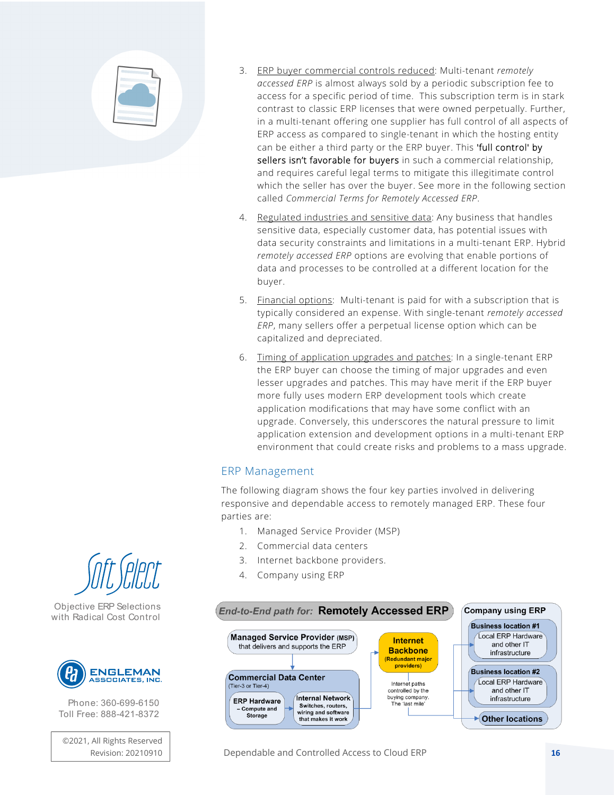

- 3. ERP buyer commercial controls reduced: Multi-tenant *remotely accessed ERP* is almost always sold by a periodic subscription fee to access for a specific period of time. This subscription term is in stark contrast to classic ERP licenses that were owned perpetually. Further, in a multi-tenant offering one supplier has full control of all aspects of ERP access as compared to single-tenant in which the hosting entity can be either a third party or the ERP buyer. This 'full control' by sellers isn't favorable for buyers in such a commercial relationship, and requires careful legal terms to mitigate this illegitimate control which the seller has over the buyer. See more in the following section called *Commercial Terms for Remotely Accessed ERP*.
- 4. Regulated industries and sensitive data: Any business that handles sensitive data, especially customer data, has potential issues with data security constraints and limitations in a multi-tenant ERP. Hybrid *remotely accessed ERP* options are evolving that enable portions of data and processes to be controlled at a different location for the buyer.
- 5. Financial options: Multi-tenant is paid for with a subscription that is typically considered an expense. With single-tenant *remotely accessed ERP*, many sellers offer a perpetual license option which can be capitalized and depreciated.
- 6. Timing of application upgrades and patches: In a single-tenant ERP the ERP buyer can choose the timing of major upgrades and even lesser upgrades and patches. This may have merit if the ERP buyer more fully uses modern ERP development tools which create application modifications that may have some conflict with an upgrade. Conversely, this underscores the natural pressure to limit application extension and development options in a multi-tenant ERP environment that could create risks and problems to a mass upgrade.

#### ERP Management

The following diagram shows the four key parties involved in delivering responsive and dependable access to remotely managed ERP. These four parties are:

- 1. Managed Service Provider (MSP)
- 2. Commercial data centers
- 3. Internet backbone providers.
- 4. Company using ERP





Objective ERP Selections with Radical Cost Control



Phone: 360-699-6150 Toll Free: 888-421-8372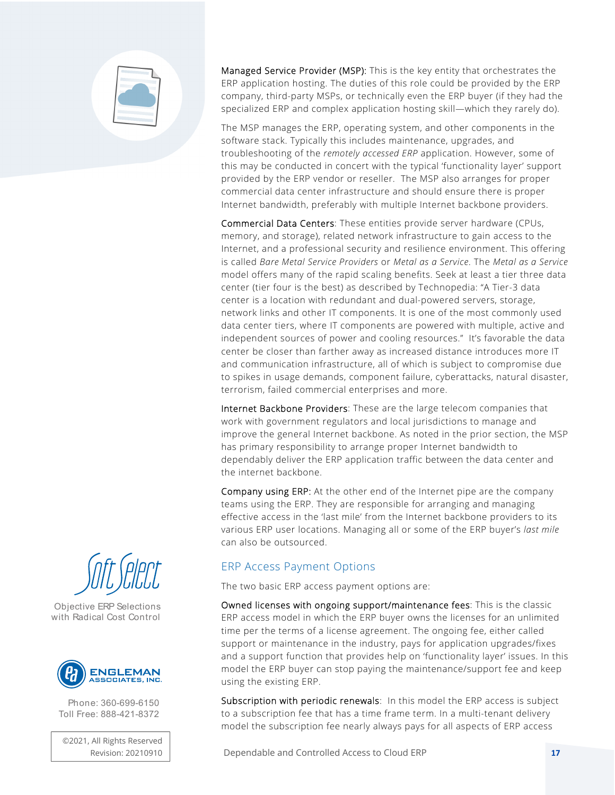

Managed Service Provider (MSP): This is the key entity that orchestrates the ERP application hosting. The duties of this role could be provided by the ERP company, third-party MSPs, or technically even the ERP buyer (if they had the specialized ERP and complex application hosting skill—which they rarely do).

The MSP manages the ERP, operating system, and other components in the software stack. Typically this includes maintenance, upgrades, and troubleshooting of the *remotely accessed ERP* application. However, some of this may be conducted in concert with the typical 'functionality layer' support provided by the ERP vendor or reseller. The MSP also arranges for proper commercial data center infrastructure and should ensure there is proper Internet bandwidth, preferably with multiple Internet backbone providers.

Commercial Data Centers: These entities provide server hardware (CPUs, memory, and storage), related network infrastructure to gain access to the Internet, and a professional security and resilience environment. This offering is called *Bare Metal Service Providers* or *Metal as a Service*. The *Metal as a Service* model offers many of the rapid scaling benefits. Seek at least a tier three data center (tier four is the best) as described by Technopedia: "A Tier-3 data center is a location with redundant and dual-powered servers, storage, network links and other IT components. It is one of the most commonly used data center tiers, where IT components are powered with multiple, active and independent sources of power and cooling resources." It's favorable the data center be closer than farther away as increased distance introduces more IT and communication infrastructure, all of which is subject to compromise due to spikes in usage demands, component failure, cyberattacks, natural disaster, terrorism, failed commercial enterprises and more.

Internet Backbone Providers: These are the large telecom companies that work with government regulators and local jurisdictions to manage and improve the general Internet backbone. As noted in the prior section, the MSP has primary responsibility to arrange proper Internet bandwidth to dependably deliver the ERP application traffic between the data center and the internet backbone.

Company using ERP: At the other end of the Internet pipe are the company teams using the ERP. They are responsible for arranging and managing effective access in the 'last mile' from the Internet backbone providers to its various ERP user locations. Managing all or some of the ERP buyer's *last mile* can also be outsourced.

#### ERP Access Payment Options

The two basic ERP access payment options are:

Owned licenses with ongoing support/maintenance fees: This is the classic ERP access model in which the ERP buyer owns the licenses for an unlimited time per the terms of a license agreement. The ongoing fee, either called support or maintenance in the industry, pays for application upgrades/fixes and a support function that provides help on 'functionality layer' issues. In this model the ERP buyer can stop paying the maintenance/support fee and keep using the existing ERP.

Subscription with periodic renewals: In this model the ERP access is subject to a subscription fee that has a time frame term. In a multi-tenant delivery model the subscription fee nearly always pays for all aspects of ERP access

Dependable and Controlled Access to Cloud ERP **17**



Objective ERP Selections with Radical Cost Control



Phone: 360-699-6150 Toll Free: 888-421-8372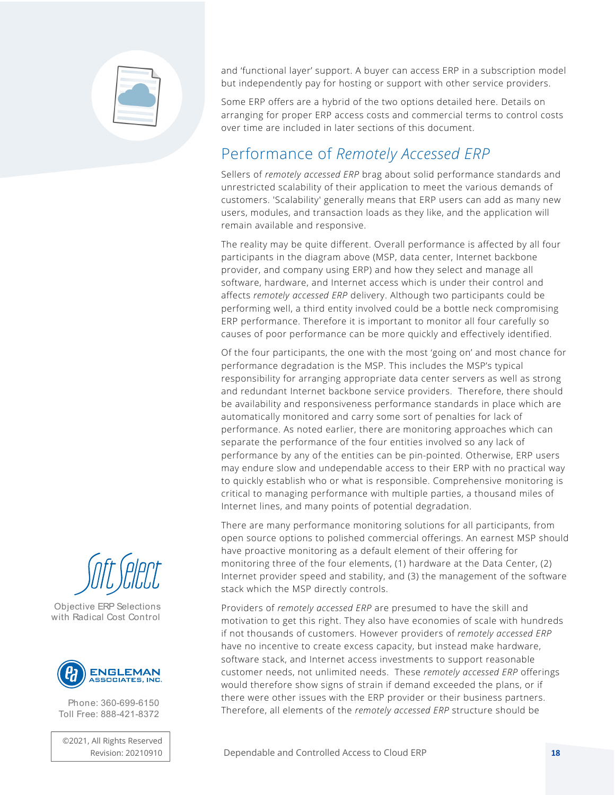

and 'functional layer' support. A buyer can access ERP in a subscription model but independently pay for hosting or support with other service providers.

Some ERP offers are a hybrid of the two options detailed here. Details on arranging for proper ERP access costs and commercial terms to control costs over time are included in later sections of this document.

## Performance of *Remotely Accessed ERP*

Sellers of *remotely accessed ERP* brag about solid performance standards and unrestricted scalability of their application to meet the various demands of customers. 'Scalability' generally means that ERP users can add as many new users, modules, and transaction loads as they like, and the application will remain available and responsive.

The reality may be quite different. Overall performance is affected by all four participants in the diagram above (MSP, data center, Internet backbone provider, and company using ERP) and how they select and manage all software, hardware, and Internet access which is under their control and affects *remotely accessed ERP* delivery. Although two participants could be performing well, a third entity involved could be a bottle neck compromising ERP performance. Therefore it is important to monitor all four carefully so causes of poor performance can be more quickly and effectively identified.

Of the four participants, the one with the most 'going on' and most chance for performance degradation is the MSP. This includes the MSP's typical responsibility for arranging appropriate data center servers as well as strong and redundant Internet backbone service providers. Therefore, there should be availability and responsiveness performance standards in place which are automatically monitored and carry some sort of penalties for lack of performance. As noted earlier, there are monitoring approaches which can separate the performance of the four entities involved so any lack of performance by any of the entities can be pin-pointed. Otherwise, ERP users may endure slow and undependable access to their ERP with no practical way to quickly establish who or what is responsible. Comprehensive monitoring is critical to managing performance with multiple parties, a thousand miles of Internet lines, and many points of potential degradation.

There are many performance monitoring solutions for all participants, from open source options to polished commercial offerings. An earnest MSP should have proactive monitoring as a default element of their offering for monitoring three of the four elements, (1) hardware at the Data Center, (2) Internet provider speed and stability, and (3) the management of the software stack which the MSP directly controls.

Providers of *remotely accessed ERP* are presumed to have the skill and motivation to get this right. They also have economies of scale with hundreds if not thousands of customers. However providers of *remotely accessed ERP* have no incentive to create excess capacity, but instead make hardware, software stack, and Internet access investments to support reasonable customer needs, not unlimited needs. These *remotely accessed ERP* offerings would therefore show signs of strain if demand exceeded the plans, or if there were other issues with the ERP provider or their business partners. Therefore, all elements of the *remotely accessed ERP* structure should be

Objective ERP Selections with Radical Cost Control



Phone: 360-699-6150 Toll Free: 888-421-8372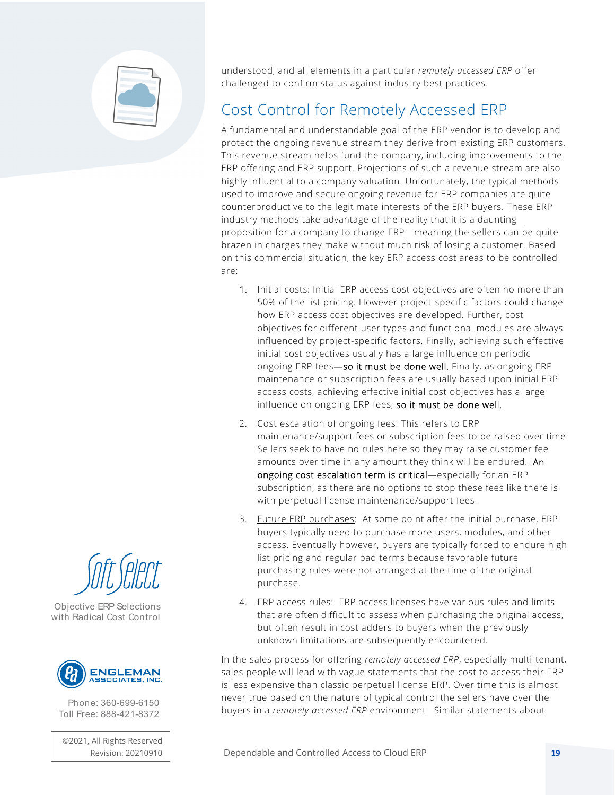

understood, and all elements in a particular *remotely accessed ERP* offer challenged to confirm status against industry best practices.

# Cost Control for Remotely Accessed ERP

A fundamental and understandable goal of the ERP vendor is to develop and protect the ongoing revenue stream they derive from existing ERP customers. This revenue stream helps fund the company, including improvements to the ERP offering and ERP support. Projections of such a revenue stream are also highly influential to a company valuation. Unfortunately, the typical methods used to improve and secure ongoing revenue for ERP companies are quite counterproductive to the legitimate interests of the ERP buyers. These ERP industry methods take advantage of the reality that it is a daunting proposition for a company to change ERP—meaning the sellers can be quite brazen in charges they make without much risk of losing a customer. Based on this commercial situation, the key ERP access cost areas to be controlled are:

- 1. Initial costs: Initial ERP access cost objectives are often no more than 50% of the list pricing. However project-specific factors could change how ERP access cost objectives are developed. Further, cost objectives for different user types and functional modules are always influenced by project-specific factors. Finally, achieving such effective initial cost objectives usually has a large influence on periodic ongoing ERP fees-so it must be done well. Finally, as ongoing ERP maintenance or subscription fees are usually based upon initial ERP access costs, achieving effective initial cost objectives has a large influence on ongoing ERP fees, so it must be done well.
- 2. Cost escalation of ongoing fees: This refers to ERP maintenance/support fees or subscription fees to be raised over time. Sellers seek to have no rules here so they may raise customer fee amounts over time in any amount they think will be endured. An ongoing cost escalation term is critical—especially for an ERP subscription, as there are no options to stop these fees like there is with perpetual license maintenance/support fees.
- 3. Future ERP purchases: At some point after the initial purchase, ERP buyers typically need to purchase more users, modules, and other access. Eventually however, buyers are typically forced to endure high list pricing and regular bad terms because favorable future purchasing rules were not arranged at the time of the original purchase.
- 4. ERP access rules: ERP access licenses have various rules and limits that are often difficult to assess when purchasing the original access, but often result in cost adders to buyers when the previously unknown limitations are subsequently encountered.

In the sales process for offering *remotely accessed ERP*, especially multi-tenant, sales people will lead with vague statements that the cost to access their ERP is less expensive than classic perpetual license ERP. Over time this is almost never true based on the nature of typical control the sellers have over the buyers in a *remotely accessed ERP* environment. Similar statements about





Objective ERP Selections with Radical Cost Control



Phone: 360-699-6150 Toll Free: 888-421-8372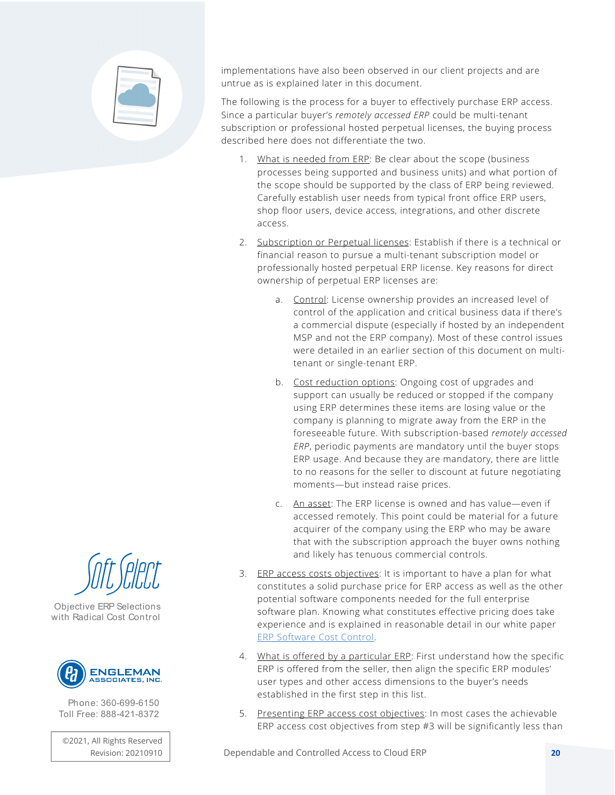

implementations have also been observed in our client projects and are untrue as is explained later in this document.

The following is the process for a buyer to effectively purchase ERP access. Since a particular buyer's *remotely accessed ERP* could be multi-tenant subscription or professional hosted perpetual licenses, the buying process described here does not differentiate the two.

- 1. What is needed from ERP: Be clear about the scope (business processes being supported and business units) and what portion of the scope should be supported by the class of ERP being reviewed. Carefully establish user needs from typical front office ERP users, shop floor users, device access, integrations, and other discrete access.
- 2. Subscription or Perpetual licenses: Establish if there is a technical or financial reason to pursue a multi-tenant subscription model or professionally hosted perpetual ERP license. Key reasons for direct ownership of perpetual ERP licenses are:
	- a. Control: License ownership provides an increased level of control of the application and critical business data if there's a commercial dispute (especially if hosted by an independent MSP and not the ERP company). Most of these control issues were detailed in an earlier section of this document on multitenant or single-tenant ERP.
	- b. Cost reduction options: Ongoing cost of upgrades and support can usually be reduced or stopped if the company using ERP determines these items are losing value or the company is planning to migrate away from the ERP in the foreseeable future. With subscription-based *remotely accessed ERP*, periodic payments are mandatory until the buyer stops ERP usage. And because they are mandatory, there are little to no reasons for the seller to discount at future negotiating moments—but instead raise prices.
	- c. An asset: The ERP license is owned and has value—even if accessed remotely. This point could be material for a future acquirer of the company using the ERP who may be aware that with the subscription approach the buyer owns nothing and likely has tenuous commercial controls.
- 3. ERP access costs objectives: It is important to have a plan for what constitutes a solid purchase price for ERP access as well as the other potential software components needed for the full enterprise software plan. Knowing what constitutes effective pricing does take experience and is explained in reasonable detail in our white paper ERP Software Cost Control.
- 4. What is offered by a particular ERP: First understand how the specific ERP is offered from the seller, then align the specific ERP modules' user types and other access dimensions to the buyer's needs established in the first step in this list.
- 5. Presenting ERP access cost objectives: In most cases the achievable ERP access cost objectives from step #3 will be significantly less than



Objective ERP Selections with Radical Cost Control



Phone: 360-699-6150 Toll Free: 888-421-8372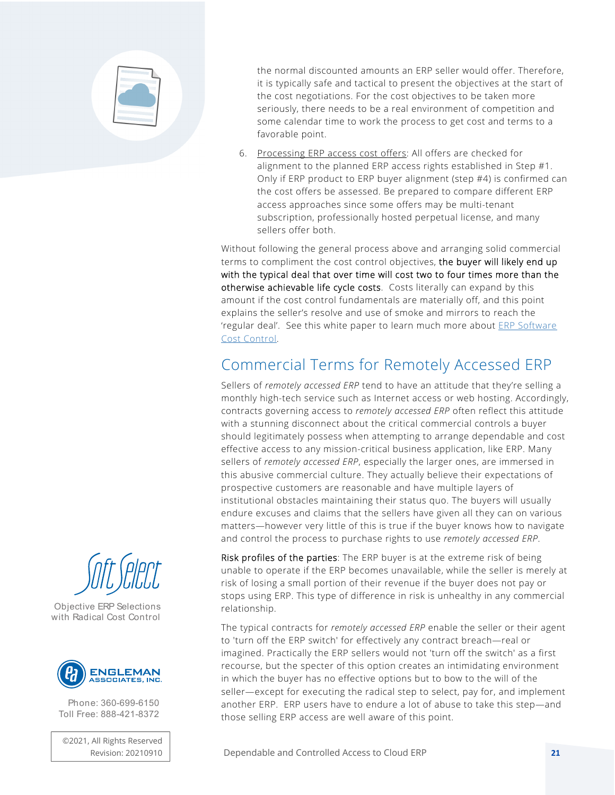

the normal discounted amounts an ERP seller would offer. Therefore, it is typically safe and tactical to present the objectives at the start of the cost negotiations. For the cost objectives to be taken more seriously, there needs to be a real environment of competition and some calendar time to work the process to get cost and terms to a favorable point.

6. Processing ERP access cost offers: All offers are checked for alignment to the planned ERP access rights established in Step #1. Only if ERP product to ERP buyer alignment (step #4) is confirmed can the cost offers be assessed. Be prepared to compare different ERP access approaches since some offers may be multi-tenant subscription, professionally hosted perpetual license, and many sellers offer both.

Without following the general process above and arranging solid commercial terms to compliment the cost control objectives, the buyer will likely end up with the typical deal that over time will cost two to four times more than the otherwise achievable life cycle costs. Costs literally can expand by this amount if the cost control fundamentals are materially off, and this point explains the seller's resolve and use of smoke and mirrors to reach the 'regular deal'. See this white paper to learn much more about *ERP Software* Cost Control.

## Commercial Terms for Remotely Accessed ERP

Sellers of *remotely accessed ERP* tend to have an attitude that they're selling a monthly high-tech service such as Internet access or web hosting. Accordingly, contracts governing access to *remotely accessed ERP* often reflect this attitude with a stunning disconnect about the critical commercial controls a buyer should legitimately possess when attempting to arrange dependable and cost effective access to any mission-critical business application, like ERP. Many sellers of *remotely accessed ERP*, especially the larger ones, are immersed in this abusive commercial culture. They actually believe their expectations of prospective customers are reasonable and have multiple layers of institutional obstacles maintaining their status quo. The buyers will usually endure excuses and claims that the sellers have given all they can on various matters—however very little of this is true if the buyer knows how to navigate and control the process to purchase rights to use *remotely accessed ERP*.

Risk profiles of the parties: The ERP buyer is at the extreme risk of being unable to operate if the ERP becomes unavailable, while the seller is merely at risk of losing a small portion of their revenue if the buyer does not pay or stops using ERP. This type of difference in risk is unhealthy in any commercial relationship.

The typical contracts for *remotely accessed ERP* enable the seller or their agent to 'turn off the ERP switch' for effectively any contract breach—real or imagined. Practically the ERP sellers would not 'turn off the switch' as a first recourse, but the specter of this option creates an intimidating environment in which the buyer has no effective options but to bow to the will of the seller—except for executing the radical step to select, pay for, and implement another ERP. ERP users have to endure a lot of abuse to take this step—and those selling ERP access are well aware of this point.





Objective ERP Selections with Radical Cost Control



Phone: 360-699-6150 Toll Free: 888-421-8372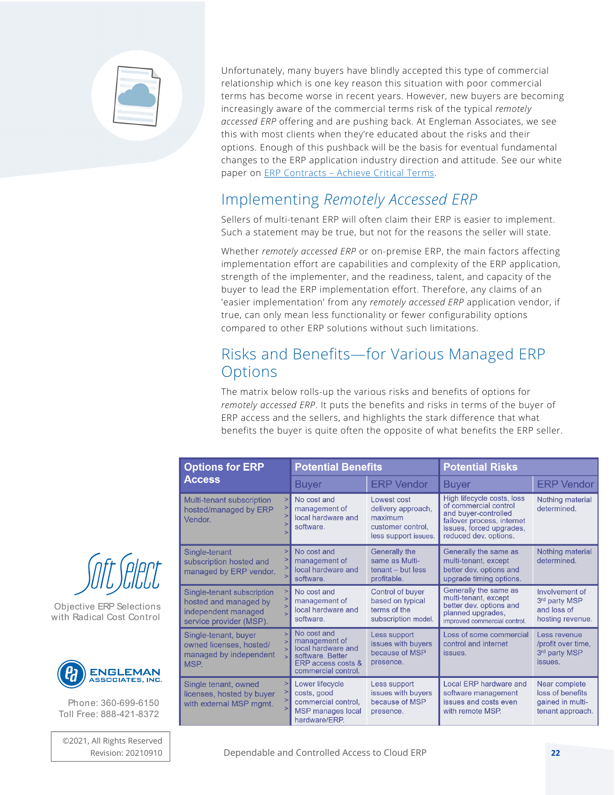

Unfortunately, many buyers have blindly accepted this type of commercial relationship which is one key reason this situation with poor commercial terms has become worse in recent years. However, new buyers are becoming increasingly aware of the commercial terms risk of the typical *remotely accessed ERP* offering and are pushing back. At Engleman Associates, we see this with most clients when they're educated about the risks and their options. Enough of this pushback will be the basis for eventual fundamental changes to the ERP application industry direction and attitude. See our white paper on **ERP Contracts - Achieve Critical Terms.** 

#### Implementing *Remotely Accessed ERP*

Sellers of multi-tenant ERP will often claim their ERP is easier to implement. Such a statement may be true, but not for the reasons the seller will state.

Whether *remotely accessed ERP* or on-premise ERP, the main factors affecting implementation effort are capabilities and complexity of the ERP application, strength of the implementer, and the readiness, talent, and capacity of the buyer to lead the ERP implementation effort. Therefore, any claims of an 'easier implementation' from any *remotely accessed ERP* application vendor, if true, can only mean less functionality or fewer configurability options compared to other ERP solutions without such limitations.

#### Risks and Benefits—for Various Managed ERP **Options**

The matrix below rolls-up the various risks and benefits of options for *remotely accessed ERP*. It puts the benefits and risks in terms of the buyer of ERP access and the sellers, and highlights the stark difference that what benefits the buyer is quite often the opposite of what benefits the ERP seller.

| <b>Options for ERP</b><br><b>Access</b>                                                               | <b>Potential Benefits</b>                                                                                           |                                                                                           | <b>Potential Risks</b>                                                                                                                                         |                                                                           |
|-------------------------------------------------------------------------------------------------------|---------------------------------------------------------------------------------------------------------------------|-------------------------------------------------------------------------------------------|----------------------------------------------------------------------------------------------------------------------------------------------------------------|---------------------------------------------------------------------------|
|                                                                                                       | Buyer                                                                                                               | <b>ERP Vendor</b>                                                                         | <b>Buyer</b>                                                                                                                                                   | <b>ERP Vendor</b>                                                         |
| Multi-tenant subscription<br>hosted/managed by ERP<br>Vendor.                                         | No cost and<br>management of<br>local hardware and<br>software.                                                     | Lowest cost<br>delivery approach,<br>maximum<br>customer control.<br>less support issues. | High lifecycle costs, loss<br>of commercial control<br>and buyer-controlled<br>failover process, internet<br>issues, forced upgrades,<br>reduced dev. options. | Nothing material<br>determined.                                           |
| Single-tenant<br>subscription hosted and<br>managed by ERP vendor.                                    | No cost and<br>management of<br>local hardware and<br>software.                                                     | Generally the<br>same as Multi-<br>$t$ enant – but less<br>profitable.                    | Generally the same as<br>multi-tenant, except<br>better dev. options and<br>upgrade timing options.                                                            | Nothing material<br>determined.                                           |
| Single-tenant subscription<br>hosted and managed by<br>independent managed<br>service provider (MSP). | No cost and<br>management of<br>local hardware and<br>software.                                                     | Control of buyer<br>based on typical<br>terms of the<br>subscription model.               | Generally the same as<br>multi-tenant, except<br>better dev. options and<br>planned upgrades,<br>improved commercial control.                                  | Involvement of<br>3rd party MSP<br>and loss of<br>hosting revenue.        |
| Single-tenant, buyer<br>owned licenses, hosted/<br>managed by independent<br>MSP.                     | No cost and<br>management of<br>local hardware and<br>software, Better<br>ERP access costs &<br>commercial control. | Less support<br>issues with buyers<br>because of MSP<br>presence.                         | Loss of some commercial<br>control and internet<br>issues.                                                                                                     | Less revenue<br>/profit over time,<br>3rd party MSP<br>issues.            |
| Single tenant, owned<br>licenses, hosted by buyer<br>with external MSP mgmt.                          | Lower lifecycle<br>costs, good<br>commercial control,<br><b>MSP</b> manages local<br>hardware/ERP.                  | Less support<br>issues with buvers<br>because of MSP<br>presence.                         | Local ERP hardware and<br>software management<br>issues and costs even<br>with remote MSP.                                                                     | Near complete<br>loss of benefits<br>gained in multi-<br>tenant approach. |



Objective ERP Selections with Radical Cost Control



Phone: 360-699-6150 Toll Free: 888-421-8372